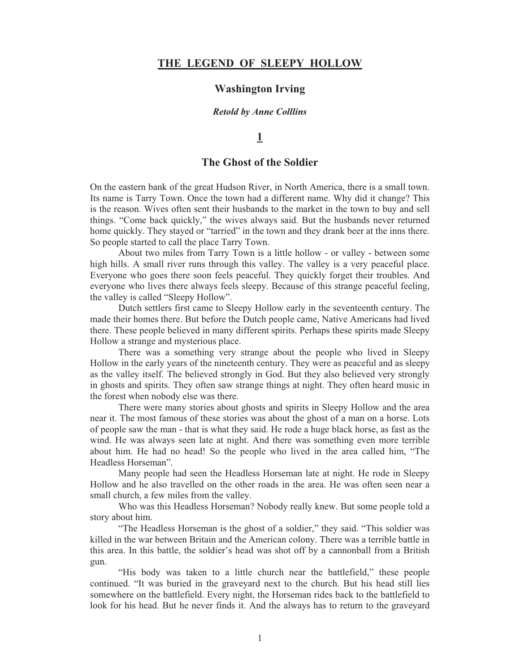#### **THE LEGEND OF SLEEPY HOLLOW**

#### **Washington Irving**

#### *Retold by Anne Colllins*

#### **1**

#### **The Ghost of the Soldier**

On the eastern bank of the great Hudson River, in North America, there is a small town. Its name is Tarry Town. Once the town had a different name. Why did it change? This is the reason. Wives often sent their husbands to the market in the town to buy and sell things. "Come back quickly," the wives always said. But the husbands never returned home quickly. They stayed or "tarried" in the town and they drank beer at the inns there. So people started to call the place Tarry Town.

About two miles from Tarry Town is a little hollow - or valley - between some high hills. A small river runs through this valley. The valley is a very peaceful place. Everyone who goes there soon feels peaceful. They quickly forget their troubles. And everyone who lives there always feels sleepy. Because of this strange peaceful feeling, the valley is called "Sleepy Hollow".

Dutch settlers first came to Sleepy Hollow early in the seventeenth century. The made their homes there. But before the Dutch people came, Native Americans had lived there. These people believed in many different spirits. Perhaps these spirits made Sleepy Hollow a strange and mysterious place.

There was a something very strange about the people who lived in Sleepy Hollow in the early years of the nineteenth century. They were as peaceful and as sleepy as the valley itself. The believed strongly in God. But they also believed very strongly in ghosts and spirits. They often saw strange things at night. They often heard music in the forest when nobody else was there.

There were many stories about ghosts and spirits in Sleepy Hollow and the area near it. The most famous of these stories was about the ghost of a man on a horse. Lots of people saw the man - that is what they said. He rode a huge black horse, as fast as the wind. He was always seen late at night. And there was something even more terrible about him. He had no head! So the people who lived in the area called him, "The Headless Horseman".

Many people had seen the Headless Horseman late at night. He rode in Sleepy Hollow and he also travelled on the other roads in the area. He was often seen near a small church, a few miles from the valley.

Who was this Headless Horseman? Nobody really knew. But some people told a story about him.

"The Headless Horseman is the ghost of a soldier," they said. "This soldier was killed in the war between Britain and the American colony. There was a terrible battle in this area. In this battle, the soldier's head was shot off by a cannonball from a British gun.

"His body was taken to a little church near the battlefield," these people continued. "It was buried in the graveyard next to the church. But his head still lies somewhere on the battlefield. Every night, the Horseman rides back to the battlefield to look for his head. But he never finds it. And the always has to return to the graveyard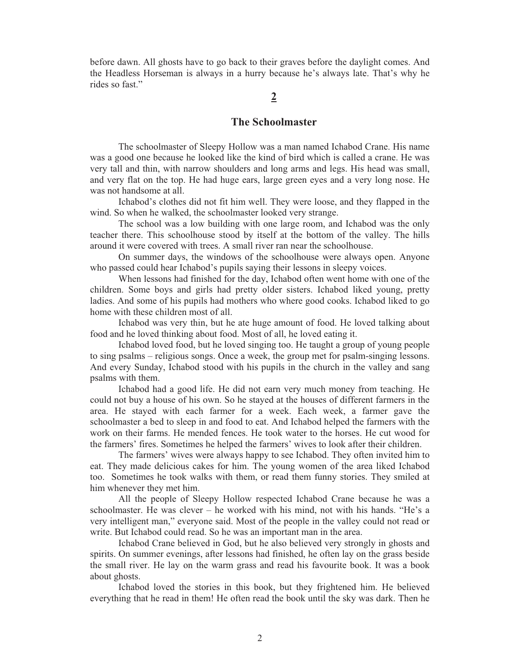before dawn. All ghosts have to go back to their graves before the daylight comes. And the Headless Horseman is always in a hurry because he's always late. That's why he rides so fast."

**2**

#### **The Schoolmaster**

The schoolmaster of Sleepy Hollow was a man named Ichabod Crane. His name was a good one because he looked like the kind of bird which is called a crane. He was very tall and thin, with narrow shoulders and long arms and legs. His head was small, and very flat on the top. He had huge ears, large green eyes and a very long nose. He was not handsome at all.

Ichabod's clothes did not fit him well. They were loose, and they flapped in the wind. So when he walked, the schoolmaster looked very strange.

The school was a low building with one large room, and Ichabod was the only teacher there. This schoolhouse stood by itself at the bottom of the valley. The hills around it were covered with trees. A small river ran near the schoolhouse.

On summer days, the windows of the schoolhouse were always open. Anyone who passed could hear Ichabod's pupils saying their lessons in sleepy voices.

When lessons had finished for the day, Ichabod often went home with one of the children. Some boys and girls had pretty older sisters. Ichabod liked young, pretty ladies. And some of his pupils had mothers who where good cooks. Ichabod liked to go home with these children most of all.

Ichabod was very thin, but he ate huge amount of food. He loved talking about food and he loved thinking about food. Most of all, he loved eating it.

Ichabod loved food, but he loved singing too. He taught a group of young people to sing psalms – religious songs. Once a week, the group met for psalm-singing lessons. And every Sunday, Ichabod stood with his pupils in the church in the valley and sang psalms with them.

Ichabod had a good life. He did not earn very much money from teaching. He could not buy a house of his own. So he stayed at the houses of different farmers in the area. He stayed with each farmer for a week. Each week, a farmer gave the schoolmaster a bed to sleep in and food to eat. And Ichabod helped the farmers with the work on their farms. He mended fences. He took water to the horses. He cut wood for the farmers' fires. Sometimes he helped the farmers' wives to look after their children.

The farmers' wives were always happy to see Ichabod. They often invited him to eat. They made delicious cakes for him. The young women of the area liked Ichabod too. Sometimes he took walks with them, or read them funny stories. They smiled at him whenever they met him.

All the people of Sleepy Hollow respected Ichabod Crane because he was a schoolmaster. He was clever – he worked with his mind, not with his hands. "He's a very intelligent man," everyone said. Most of the people in the valley could not read or write. But Ichabod could read. So he was an important man in the area.

Ichabod Crane believed in God, but he also believed very strongly in ghosts and spirits. On summer evenings, after lessons had finished, he often lay on the grass beside the small river. He lay on the warm grass and read his favourite book. It was a book about ghosts.

Ichabod loved the stories in this book, but they frightened him. He believed everything that he read in them! He often read the book until the sky was dark. Then he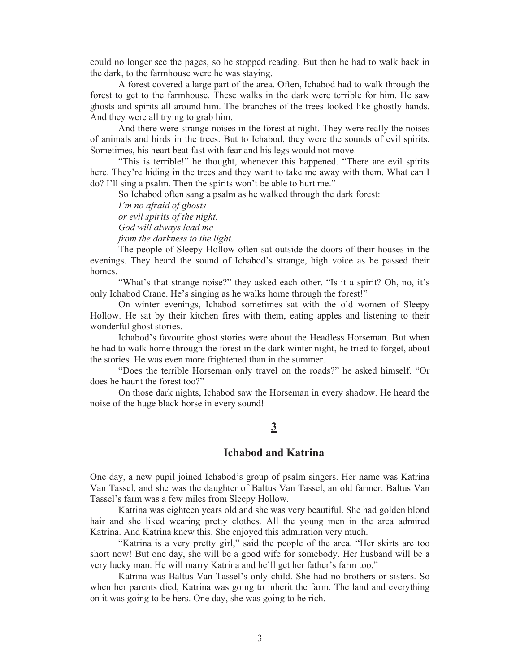could no longer see the pages, so he stopped reading. But then he had to walk back in the dark, to the farmhouse were he was staying.

A forest covered a large part of the area. Often, Ichabod had to walk through the forest to get to the farmhouse. These walks in the dark were terrible for him. He saw ghosts and spirits all around him. The branches of the trees looked like ghostly hands. And they were all trying to grab him.

And there were strange noises in the forest at night. They were really the noises of animals and birds in the trees. But to Ichabod, they were the sounds of evil spirits. Sometimes, his heart beat fast with fear and his legs would not move.

"This is terrible!" he thought, whenever this happened. "There are evil spirits here. They're hiding in the trees and they want to take me away with them. What can I do? I'll sing a psalm. Then the spirits won't be able to hurt me."

So Ichabod often sang a psalm as he walked through the dark forest:

*I'm no afraid of ghosts* 

*or evil spirits of the night.* 

*God will always lead me* 

*from the darkness to the light.* 

The people of Sleepy Hollow often sat outside the doors of their houses in the evenings. They heard the sound of Ichabod's strange, high voice as he passed their homes.

"What's that strange noise?" they asked each other. "Is it a spirit? Oh, no, it's only Ichabod Crane. He's singing as he walks home through the forest!"

On winter evenings, Ichabod sometimes sat with the old women of Sleepy Hollow. He sat by their kitchen fires with them, eating apples and listening to their wonderful ghost stories.

Ichabod's favourite ghost stories were about the Headless Horseman. But when he had to walk home through the forest in the dark winter night, he tried to forget, about the stories. He was even more frightened than in the summer.

"Does the terrible Horseman only travel on the roads?" he asked himself. "Or does he haunt the forest too?"

On those dark nights, Ichabod saw the Horseman in every shadow. He heard the noise of the huge black horse in every sound!

#### **3**

#### **Ichabod and Katrina**

One day, a new pupil joined Ichabod's group of psalm singers. Her name was Katrina Van Tassel, and she was the daughter of Baltus Van Tassel, an old farmer. Baltus Van Tassel's farm was a few miles from Sleepy Hollow.

Katrina was eighteen years old and she was very beautiful. She had golden blond hair and she liked wearing pretty clothes. All the young men in the area admired Katrina. And Katrina knew this. She enjoyed this admiration very much.

"Katrina is a very pretty girl," said the people of the area. "Her skirts are too short now! But one day, she will be a good wife for somebody. Her husband will be a very lucky man. He will marry Katrina and he'll get her father's farm too."

Katrina was Baltus Van Tassel's only child. She had no brothers or sisters. So when her parents died, Katrina was going to inherit the farm. The land and everything on it was going to be hers. One day, she was going to be rich.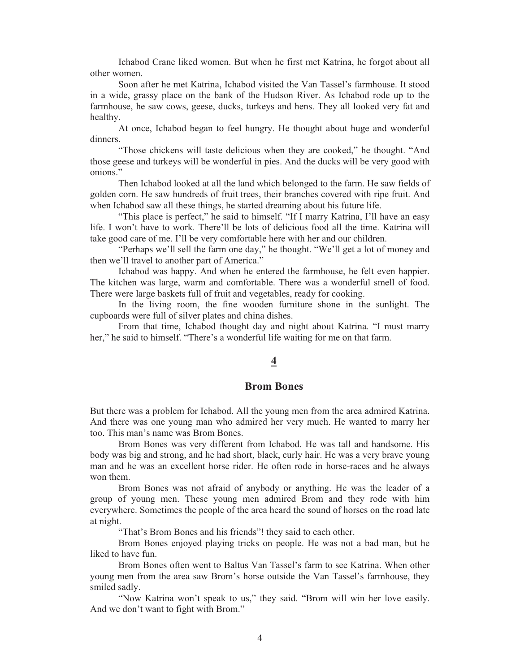Ichabod Crane liked women. But when he first met Katrina, he forgot about all other women.

Soon after he met Katrina, Ichabod visited the Van Tassel's farmhouse. It stood in a wide, grassy place on the bank of the Hudson River. As Ichabod rode up to the farmhouse, he saw cows, geese, ducks, turkeys and hens. They all looked very fat and healthy.

At once, Ichabod began to feel hungry. He thought about huge and wonderful dinners.

"Those chickens will taste delicious when they are cooked," he thought. "And those geese and turkeys will be wonderful in pies. And the ducks will be very good with onions."

Then Ichabod looked at all the land which belonged to the farm. He saw fields of golden corn. He saw hundreds of fruit trees, their branches covered with ripe fruit. And when Ichabod saw all these things, he started dreaming about his future life.

"This place is perfect," he said to himself. "If I marry Katrina, I'll have an easy life. I won't have to work. There'll be lots of delicious food all the time. Katrina will take good care of me. I'll be very comfortable here with her and our children.

"Perhaps we'll sell the farm one day," he thought. "We'll get a lot of money and then we'll travel to another part of America."

Ichabod was happy. And when he entered the farmhouse, he felt even happier. The kitchen was large, warm and comfortable. There was a wonderful smell of food. There were large baskets full of fruit and vegetables, ready for cooking.

In the living room, the fine wooden furniture shone in the sunlight. The cupboards were full of silver plates and china dishes.

From that time, Ichabod thought day and night about Katrina. "I must marry her," he said to himself. "There's a wonderful life waiting for me on that farm.

## **4**

#### **Brom Bones**

But there was a problem for Ichabod. All the young men from the area admired Katrina. And there was one young man who admired her very much. He wanted to marry her too. This man's name was Brom Bones.

Brom Bones was very different from Ichabod. He was tall and handsome. His body was big and strong, and he had short, black, curly hair. He was a very brave young man and he was an excellent horse rider. He often rode in horse-races and he always won them.

Brom Bones was not afraid of anybody or anything. He was the leader of a group of young men. These young men admired Brom and they rode with him everywhere. Sometimes the people of the area heard the sound of horses on the road late at night.

"That's Brom Bones and his friends"! they said to each other.

Brom Bones enjoyed playing tricks on people. He was not a bad man, but he liked to have fun.

Brom Bones often went to Baltus Van Tassel's farm to see Katrina. When other young men from the area saw Brom's horse outside the Van Tassel's farmhouse, they smiled sadly.

"Now Katrina won't speak to us," they said. "Brom will win her love easily. And we don't want to fight with Brom."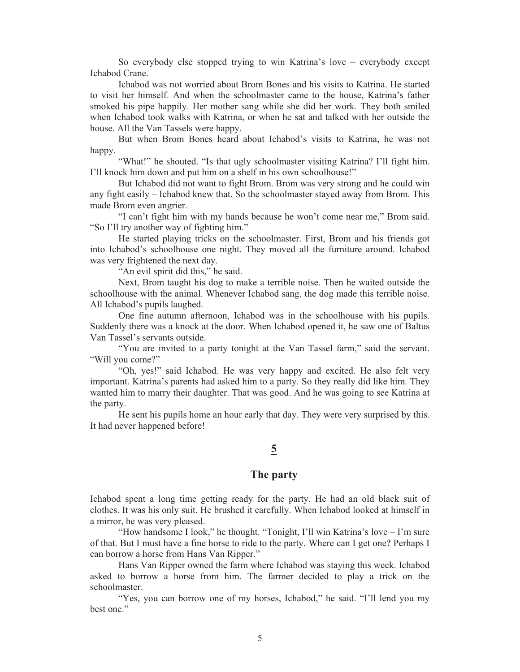So everybody else stopped trying to win Katrina's love – everybody except Ichabod Crane.

Ichabod was not worried about Brom Bones and his visits to Katrina. He started to visit her himself. And when the schoolmaster came to the house, Katrina's father smoked his pipe happily. Her mother sang while she did her work. They both smiled when Ichabod took walks with Katrina, or when he sat and talked with her outside the house. All the Van Tassels were happy.

But when Brom Bones heard about Ichabod's visits to Katrina, he was not happy.

"What!" he shouted. "Is that ugly schoolmaster visiting Katrina? I'll fight him. I'll knock him down and put him on a shelf in his own schoolhouse!"

But Ichabod did not want to fight Brom. Brom was very strong and he could win any fight easily – Ichabod knew that. So the schoolmaster stayed away from Brom. This made Brom even angrier.

"I can't fight him with my hands because he won't come near me," Brom said. "So I'll try another way of fighting him."

He started playing tricks on the schoolmaster. First, Brom and his friends got into Ichabod's schoolhouse one night. They moved all the furniture around. Ichabod was very frightened the next day.

"An evil spirit did this," he said.

Next, Brom taught his dog to make a terrible noise. Then he waited outside the schoolhouse with the animal. Whenever Ichabod sang, the dog made this terrible noise. All Ichabod's pupils laughed.

One fine autumn afternoon, Ichabod was in the schoolhouse with his pupils. Suddenly there was a knock at the door. When Ichabod opened it, he saw one of Baltus Van Tassel's servants outside.

"You are invited to a party tonight at the Van Tassel farm," said the servant. "Will you come?"

"Oh, yes!" said Ichabod. He was very happy and excited. He also felt very important. Katrina's parents had asked him to a party. So they really did like him. They wanted him to marry their daughter. That was good. And he was going to see Katrina at the party.

He sent his pupils home an hour early that day. They were very surprised by this. It had never happened before!

## **5**

#### **The party**

Ichabod spent a long time getting ready for the party. He had an old black suit of clothes. It was his only suit. He brushed it carefully. When Ichabod looked at himself in a mirror, he was very pleased.

"How handsome I look," he thought. "Tonight, I'll win Katrina's love – I'm sure of that. But I must have a fine horse to ride to the party. Where can I get one? Perhaps I can borrow a horse from Hans Van Ripper."

Hans Van Ripper owned the farm where Ichabod was staying this week. Ichabod asked to borrow a horse from him. The farmer decided to play a trick on the schoolmaster.

"Yes, you can borrow one of my horses, Ichabod," he said. "I'll lend you my best one."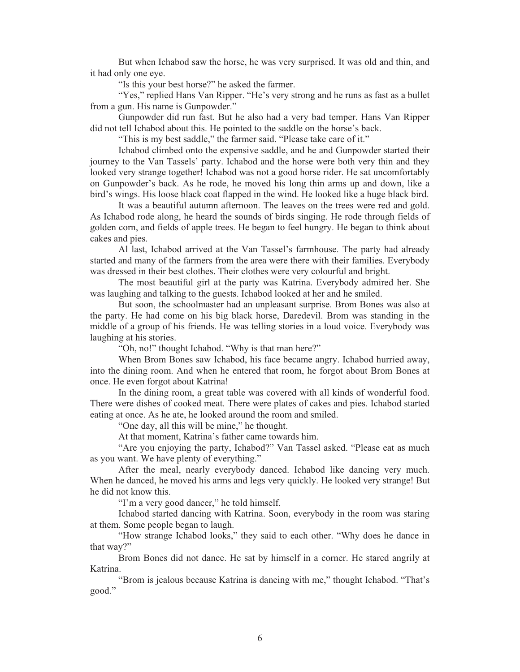But when Ichabod saw the horse, he was very surprised. It was old and thin, and it had only one eye.

"Is this your best horse?" he asked the farmer.

"Yes," replied Hans Van Ripper. "He's very strong and he runs as fast as a bullet from a gun. His name is Gunpowder."

Gunpowder did run fast. But he also had a very bad temper. Hans Van Ripper did not tell Ichabod about this. He pointed to the saddle on the horse's back.

"This is my best saddle," the farmer said. "Please take care of it."

Ichabod climbed onto the expensive saddle, and he and Gunpowder started their journey to the Van Tassels' party. Ichabod and the horse were both very thin and they looked very strange together! Ichabod was not a good horse rider. He sat uncomfortably on Gunpowder's back. As he rode, he moved his long thin arms up and down, like a bird's wings. His loose black coat flapped in the wind. He looked like a huge black bird.

It was a beautiful autumn afternoon. The leaves on the trees were red and gold. As Ichabod rode along, he heard the sounds of birds singing. He rode through fields of golden corn, and fields of apple trees. He began to feel hungry. He began to think about cakes and pies.

Al last, Ichabod arrived at the Van Tassel's farmhouse. The party had already started and many of the farmers from the area were there with their families. Everybody was dressed in their best clothes. Their clothes were very colourful and bright.

The most beautiful girl at the party was Katrina. Everybody admired her. She was laughing and talking to the guests. Ichabod looked at her and he smiled.

But soon, the schoolmaster had an unpleasant surprise. Brom Bones was also at the party. He had come on his big black horse, Daredevil. Brom was standing in the middle of a group of his friends. He was telling stories in a loud voice. Everybody was laughing at his stories.

"Oh, no!" thought Ichabod. "Why is that man here?"

When Brom Bones saw Ichabod, his face became angry. Ichabod hurried away, into the dining room. And when he entered that room, he forgot about Brom Bones at once. He even forgot about Katrina!

In the dining room, a great table was covered with all kinds of wonderful food. There were dishes of cooked meat. There were plates of cakes and pies. Ichabod started eating at once. As he ate, he looked around the room and smiled.

"One day, all this will be mine," he thought.

At that moment, Katrina's father came towards him.

"Are you enjoying the party, Ichabod?" Van Tassel asked. "Please eat as much as you want. We have plenty of everything."

After the meal, nearly everybody danced. Ichabod like dancing very much. When he danced, he moved his arms and legs very quickly. He looked very strange! But he did not know this.

"I'm a very good dancer," he told himself.

Ichabod started dancing with Katrina. Soon, everybody in the room was staring at them. Some people began to laugh.

"How strange Ichabod looks," they said to each other. "Why does he dance in that way?"

Brom Bones did not dance. He sat by himself in a corner. He stared angrily at Katrina.

"Brom is jealous because Katrina is dancing with me," thought Ichabod. "That's good."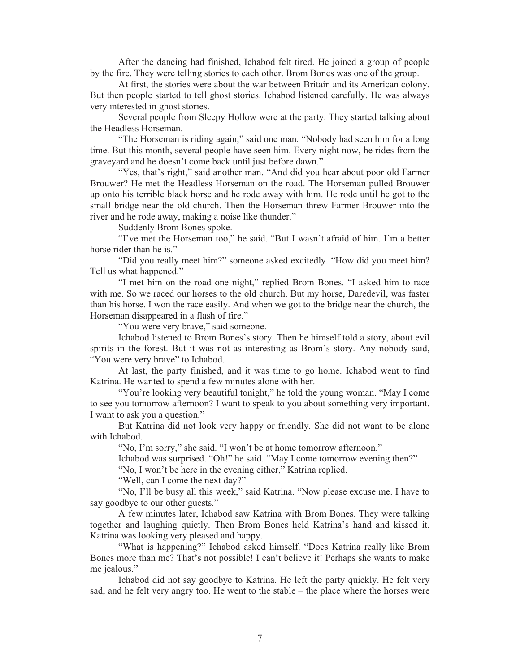After the dancing had finished, Ichabod felt tired. He joined a group of people by the fire. They were telling stories to each other. Brom Bones was one of the group.

At first, the stories were about the war between Britain and its American colony. But then people started to tell ghost stories. Ichabod listened carefully. He was always very interested in ghost stories.

Several people from Sleepy Hollow were at the party. They started talking about the Headless Horseman.

"The Horseman is riding again," said one man. "Nobody had seen him for a long time. But this month, several people have seen him. Every night now, he rides from the graveyard and he doesn't come back until just before dawn."

"Yes, that's right," said another man. "And did you hear about poor old Farmer Brouwer? He met the Headless Horseman on the road. The Horseman pulled Brouwer up onto his terrible black horse and he rode away with him. He rode until he got to the small bridge near the old church. Then the Horseman threw Farmer Brouwer into the river and he rode away, making a noise like thunder."

Suddenly Brom Bones spoke.

"I've met the Horseman too," he said. "But I wasn't afraid of him. I'm a better horse rider than he is."

"Did you really meet him?" someone asked excitedly. "How did you meet him? Tell us what happened."

"I met him on the road one night," replied Brom Bones. "I asked him to race with me. So we raced our horses to the old church. But my horse, Daredevil, was faster than his horse. I won the race easily. And when we got to the bridge near the church, the Horseman disappeared in a flash of fire."

"You were very brave," said someone.

Ichabod listened to Brom Bones's story. Then he himself told a story, about evil spirits in the forest. But it was not as interesting as Brom's story. Any nobody said, "You were very brave" to Ichabod.

At last, the party finished, and it was time to go home. Ichabod went to find Katrina. He wanted to spend a few minutes alone with her.

"You're looking very beautiful tonight," he told the young woman. "May I come to see you tomorrow afternoon? I want to speak to you about something very important. I want to ask you a question."

But Katrina did not look very happy or friendly. She did not want to be alone with Ichabod.

"No, I'm sorry," she said. "I won't be at home tomorrow afternoon."

Ichabod was surprised. "Oh!" he said. "May I come tomorrow evening then?"

"No, I won't be here in the evening either," Katrina replied.

"Well, can I come the next day?"

"No, I'll be busy all this week," said Katrina. "Now please excuse me. I have to say goodbye to our other guests."

A few minutes later, Ichabod saw Katrina with Brom Bones. They were talking together and laughing quietly. Then Brom Bones held Katrina's hand and kissed it. Katrina was looking very pleased and happy.

"What is happening?" Ichabod asked himself. "Does Katrina really like Brom Bones more than me? That's not possible! I can't believe it! Perhaps she wants to make me jealous."

Ichabod did not say goodbye to Katrina. He left the party quickly. He felt very sad, and he felt very angry too. He went to the stable – the place where the horses were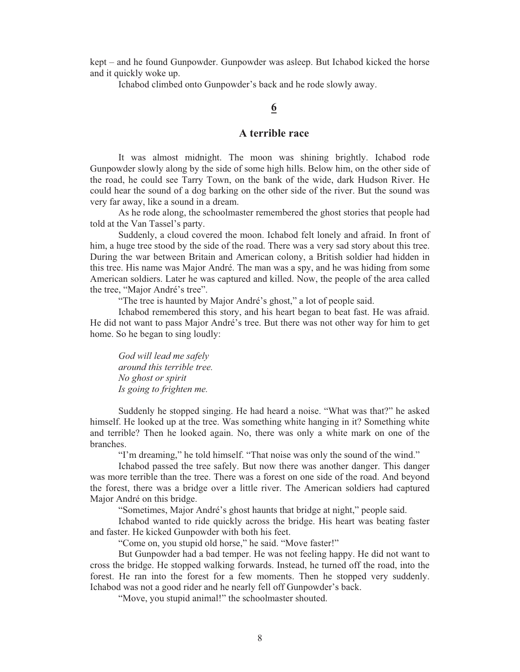kept – and he found Gunpowder. Gunpowder was asleep. But Ichabod kicked the horse and it quickly woke up.

Ichabod climbed onto Gunpowder's back and he rode slowly away.

### **6**

#### **A terrible race**

It was almost midnight. The moon was shining brightly. Ichabod rode Gunpowder slowly along by the side of some high hills. Below him, on the other side of the road, he could see Tarry Town, on the bank of the wide, dark Hudson River. He could hear the sound of a dog barking on the other side of the river. But the sound was very far away, like a sound in a dream.

As he rode along, the schoolmaster remembered the ghost stories that people had told at the Van Tassel's party.

Suddenly, a cloud covered the moon. Ichabod felt lonely and afraid. In front of him, a huge tree stood by the side of the road. There was a very sad story about this tree. During the war between Britain and American colony, a British soldier had hidden in this tree. His name was Major André. The man was a spy, and he was hiding from some American soldiers. Later he was captured and killed. Now, the people of the area called the tree, "Major André's tree".

"The tree is haunted by Major André's ghost," a lot of people said.

Ichabod remembered this story, and his heart began to beat fast. He was afraid. He did not want to pass Major André's tree. But there was not other way for him to get home. So he began to sing loudly:

*God will lead me safely around this terrible tree. No ghost or spirit Is going to frighten me.* 

Suddenly he stopped singing. He had heard a noise. "What was that?" he asked himself. He looked up at the tree. Was something white hanging in it? Something white and terrible? Then he looked again. No, there was only a white mark on one of the branches.

"I'm dreaming," he told himself. "That noise was only the sound of the wind."

Ichabod passed the tree safely. But now there was another danger. This danger was more terrible than the tree. There was a forest on one side of the road. And beyond the forest, there was a bridge over a little river. The American soldiers had captured Major André on this bridge.

"Sometimes, Major André's ghost haunts that bridge at night," people said.

Ichabod wanted to ride quickly across the bridge. His heart was beating faster and faster. He kicked Gunpowder with both his feet.

"Come on, you stupid old horse," he said. "Move faster!"

But Gunpowder had a bad temper. He was not feeling happy. He did not want to cross the bridge. He stopped walking forwards. Instead, he turned off the road, into the forest. He ran into the forest for a few moments. Then he stopped very suddenly. Ichabod was not a good rider and he nearly fell off Gunpowder's back.

"Move, you stupid animal!" the schoolmaster shouted.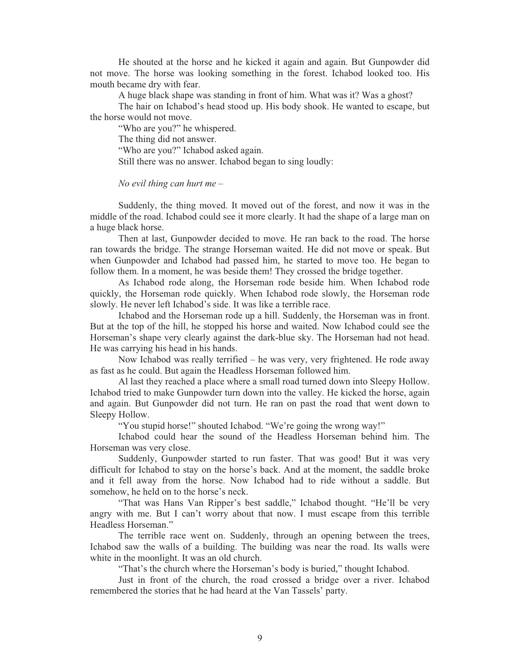He shouted at the horse and he kicked it again and again. But Gunpowder did not move. The horse was looking something in the forest. Ichabod looked too. His mouth became dry with fear.

A huge black shape was standing in front of him. What was it? Was a ghost?

The hair on Ichabod's head stood up. His body shook. He wanted to escape, but the horse would not move.

"Who are you?" he whispered. The thing did not answer. "Who are you?" Ichabod asked again. Still there was no answer. Ichabod began to sing loudly:

#### *No evil thing can hurt me –*

Suddenly, the thing moved. It moved out of the forest, and now it was in the middle of the road. Ichabod could see it more clearly. It had the shape of a large man on a huge black horse.

Then at last, Gunpowder decided to move. He ran back to the road. The horse ran towards the bridge. The strange Horseman waited. He did not move or speak. But when Gunpowder and Ichabod had passed him, he started to move too. He began to follow them. In a moment, he was beside them! They crossed the bridge together.

As Ichabod rode along, the Horseman rode beside him. When Ichabod rode quickly, the Horseman rode quickly. When Ichabod rode slowly, the Horseman rode slowly. He never left Ichabod's side. It was like a terrible race.

Ichabod and the Horseman rode up a hill. Suddenly, the Horseman was in front. But at the top of the hill, he stopped his horse and waited. Now Ichabod could see the Horseman's shape very clearly against the dark-blue sky. The Horseman had not head. He was carrying his head in his hands.

Now Ichabod was really terrified – he was very, very frightened. He rode away as fast as he could. But again the Headless Horseman followed him.

Al last they reached a place where a small road turned down into Sleepy Hollow. Ichabod tried to make Gunpowder turn down into the valley. He kicked the horse, again and again. But Gunpowder did not turn. He ran on past the road that went down to Sleepy Hollow.

"You stupid horse!" shouted Ichabod. "We're going the wrong way!"

Ichabod could hear the sound of the Headless Horseman behind him. The Horseman was very close.

Suddenly, Gunpowder started to run faster. That was good! But it was very difficult for Ichabod to stay on the horse's back. And at the moment, the saddle broke and it fell away from the horse. Now Ichabod had to ride without a saddle. But somehow, he held on to the horse's neck.

"That was Hans Van Ripper's best saddle," Ichabod thought. "He'll be very angry with me. But I can't worry about that now. I must escape from this terrible Headless Horseman."

The terrible race went on. Suddenly, through an opening between the trees, Ichabod saw the walls of a building. The building was near the road. Its walls were white in the moonlight. It was an old church.

"That's the church where the Horseman's body is buried," thought Ichabod.

Just in front of the church, the road crossed a bridge over a river. Ichabod remembered the stories that he had heard at the Van Tassels' party.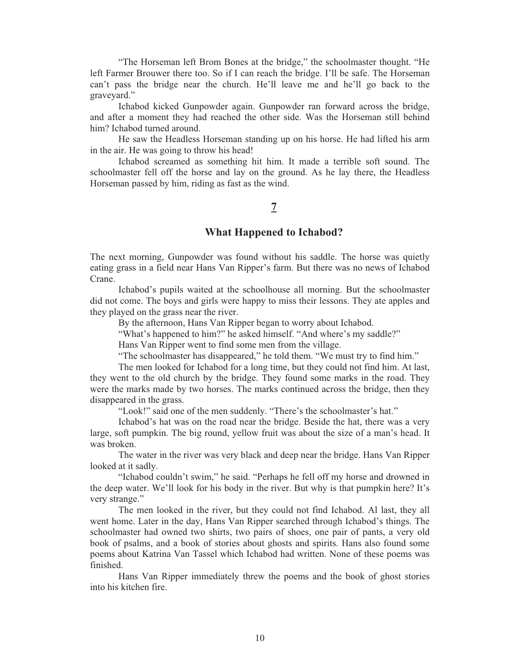"The Horseman left Brom Bones at the bridge," the schoolmaster thought. "He left Farmer Brouwer there too. So if I can reach the bridge. I'll be safe. The Horseman can't pass the bridge near the church. He'll leave me and he'll go back to the graveyard."

Ichabod kicked Gunpowder again. Gunpowder ran forward across the bridge, and after a moment they had reached the other side. Was the Horseman still behind him? Ichabod turned around.

He saw the Headless Horseman standing up on his horse. He had lifted his arm in the air. He was going to throw his head!

Ichabod screamed as something hit him. It made a terrible soft sound. The schoolmaster fell off the horse and lay on the ground. As he lay there, the Headless Horseman passed by him, riding as fast as the wind.

# **7**

#### **What Happened to Ichabod?**

The next morning, Gunpowder was found without his saddle. The horse was quietly eating grass in a field near Hans Van Ripper's farm. But there was no news of Ichabod Crane.

Ichabod's pupils waited at the schoolhouse all morning. But the schoolmaster did not come. The boys and girls were happy to miss their lessons. They ate apples and they played on the grass near the river.

By the afternoon, Hans Van Ripper began to worry about Ichabod.

"What's happened to him?" he asked himself. "And where's my saddle?"

Hans Van Ripper went to find some men from the village.

"The schoolmaster has disappeared," he told them. "We must try to find him."

The men looked for Ichabod for a long time, but they could not find him. At last, they went to the old church by the bridge. They found some marks in the road. They were the marks made by two horses. The marks continued across the bridge, then they disappeared in the grass.

"Look!" said one of the men suddenly. "There's the schoolmaster's hat."

Ichabod's hat was on the road near the bridge. Beside the hat, there was a very large, soft pumpkin. The big round, yellow fruit was about the size of a man's head. It was broken.

The water in the river was very black and deep near the bridge. Hans Van Ripper looked at it sadly.

"Ichabod couldn't swim," he said. "Perhaps he fell off my horse and drowned in the deep water. We'll look for his body in the river. But why is that pumpkin here? It's very strange."

The men looked in the river, but they could not find Ichabod. Al last, they all went home. Later in the day, Hans Van Ripper searched through Ichabod's things. The schoolmaster had owned two shirts, two pairs of shoes, one pair of pants, a very old book of psalms, and a book of stories about ghosts and spirits. Hans also found some poems about Katrina Van Tassel which Ichabod had written. None of these poems was finished.

Hans Van Ripper immediately threw the poems and the book of ghost stories into his kitchen fire.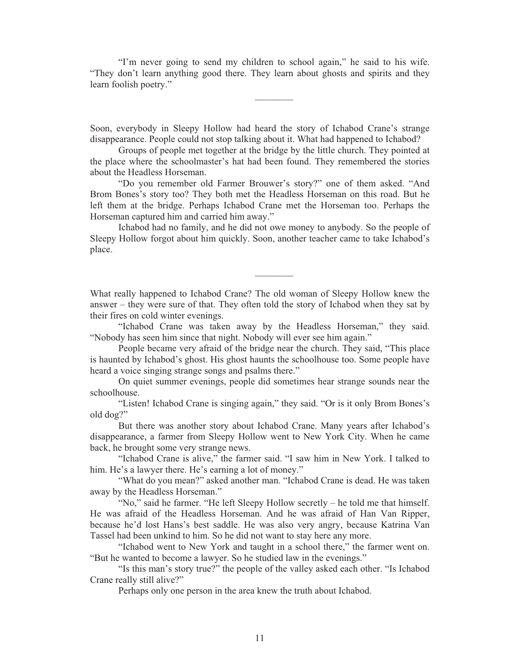"I'm never going to send my children to school again," he said to his wife. "They don't learn anything good there. They learn about ghosts and spirits and they learn foolish poetry."

 $\overline{\phantom{a}}$ 

Soon, everybody in Sleepy Hollow had heard the story of Ichabod Crane's strange disappearance. People could not stop talking about it. What had happened to Ichabod?

Groups of people met together at the bridge by the little church. They pointed at the place where the schoolmaster's hat had been found. They remembered the stories about the Headless Horseman.

"Do you remember old Farmer Brouwer's story?" one of them asked. "And Brom Bones's story too? They both met the Headless Horseman on this road. But he left them at the bridge. Perhaps Ichabod Crane met the Horseman too. Perhaps the Horseman captured him and carried him away."

Ichabod had no family, and he did not owe money to anybody. So the people of Sleepy Hollow forgot about him quickly. Soon, another teacher came to take Ichabod's place.

 $\overline{\phantom{a}}$ 

What really happened to Ichabod Crane? The old woman of Sleepy Hollow knew the answer – they were sure of that. They often told the story of Ichabod when they sat by their fires on cold winter evenings.

"Ichabod Crane was taken away by the Headless Horseman," they said. "Nobody has seen him since that night. Nobody will ever see him again."

People became very afraid of the bridge near the church. They said, "This place is haunted by Ichabod's ghost. His ghost haunts the schoolhouse too. Some people have heard a voice singing strange songs and psalms there."

On quiet summer evenings, people did sometimes hear strange sounds near the schoolhouse.

"Listen! Ichabod Crane is singing again," they said. "Or is it only Brom Bones's old dog?"

But there was another story about Ichabod Crane. Many years after Ichabod's disappearance, a farmer from Sleepy Hollow went to New York City. When he came back, he brought some very strange news.

"Ichabod Crane is alive," the farmer said. "I saw him in New York. I talked to him. He's a lawyer there. He's earning a lot of money."

"What do you mean?" asked another man. "Ichabod Crane is dead. He was taken away by the Headless Horseman."

"No," said he farmer. "He left Sleepy Hollow secretly – he told me that himself. He was afraid of the Headless Horseman. And he was afraid of Han Van Ripper, because he'd lost Hans's best saddle. He was also very angry, because Katrina Van Tassel had been unkind to him. So he did not want to stay here any more.

"Ichabod went to New York and taught in a school there," the farmer went on. "But he wanted to become a lawyer. So he studied law in the evenings."

"Is this man's story true?" the people of the valley asked each other. "Is Ichabod Crane really still alive?"

Perhaps only one person in the area knew the truth about Ichabod.